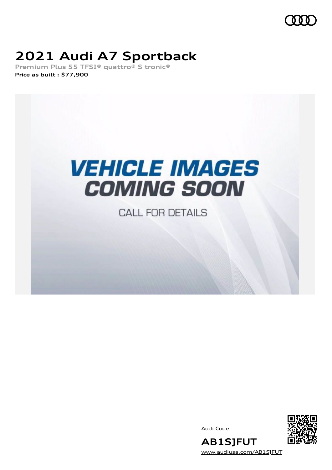

# **2021 Audi A7 Sportback**

**Premium Plus 55 TFSI® quattro® S tronic® Price as built [:](#page-8-0) \$77,900**



**CALL FOR DETAILS** 

Audi Code



**AB1SJFUT** [www.audiusa.com/AB1SJFUT](https://www.audiusa.com/AB1SJFUT)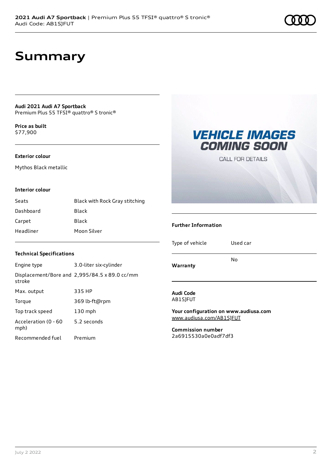### **Summary**

**Audi 2021 Audi A7 Sportback** Premium Plus 55 TFSI® quattro® S tronic®

**Price as buil[t](#page-8-0)** \$77,900

### **Exterior colour**

Mythos Black metallic

### **Interior colour**

| Seats     | Black with Rock Gray stitching |
|-----------|--------------------------------|
| Dashboard | Black                          |
| Carpet    | Black                          |
| Headliner | Moon Silver                    |



### **Further Information**

Type of vehicle Used car

### **Warranty**

No

#### **Audi Code** AB1SJFUT

**Your configuration on www.audiusa.com** [www.audiusa.com/AB1SJFUT](https://www.audiusa.com/AB1SJFUT)

**Commission number** 2a6915530a0e0adf7df3

### **Technical Specifications**

| Engine type                  | 3.0-liter six-cylinder                        |
|------------------------------|-----------------------------------------------|
| stroke                       | Displacement/Bore and 2,995/84.5 x 89.0 cc/mm |
| Max. output                  | 335 HP                                        |
| Torque                       | 369 lb-ft@rpm                                 |
| Top track speed              | $130$ mph                                     |
| Acceleration (0 - 60<br>mph) | 5.2 seconds                                   |
| Recommended fuel             | Premium                                       |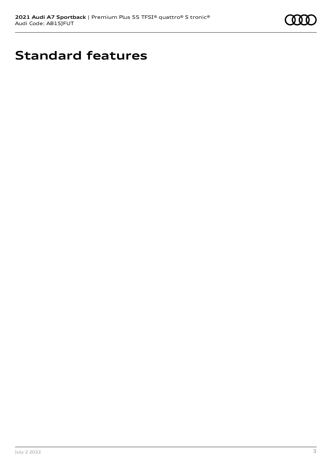

# **Standard features**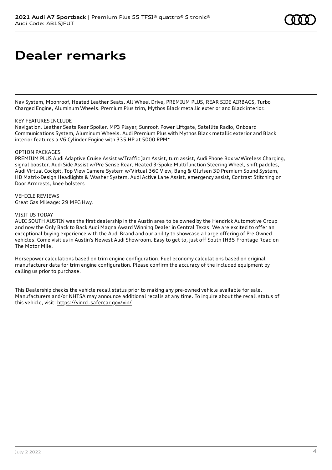Nav System, Moonroof, Heated Leather Seats, All Wheel Drive, PREMIUM PLUS, REAR SIDE AIRBAGS, Turbo Charged Engine, Aluminum Wheels. Premium Plus trim, Mythos Black metallic exterior and Black interior.

### KEY FEATURES INCLUDE

Navigation, Leather Seats Rear Spoiler, MP3 Player, Sunroof, Power Liftgate, Satellite Radio, Onboard Communications System, Aluminum Wheels. Audi Premium Plus with Mythos Black metallic exterior and Black interior features a V6 Cylinder Engine with 335 HP at 5000 RPM\*.

#### OPTION PACKAGES

PREMIUM PLUS Audi Adaptive Cruise Assist w/Traffic Jam Assist, turn assist, Audi Phone Box w/Wireless Charging, signal booster, Audi Side Assist w/Pre Sense Rear, Heated 3-Spoke Multifunction Steering Wheel, shift paddles, Audi Virtual Cockpit, Top View Camera System w/Virtual 360 View, Bang & Olufsen 3D Premium Sound System, HD Matrix-Design Headlights & Washer System, Audi Active Lane Assist, emergency assist, Contrast Stitching on Door Armrests, knee bolsters

#### VEHICLE REVIEWS Great Gas Mileage: 29 MPG Hwy.

#### VISIT US TODAY

AUDI SOUTH AUSTIN was the first dealership in the Austin area to be owned by the Hendrick Automotive Group and now the Only Back to Back Audi Magna Award Winning Dealer in Central Texas! We are excited to offer an exceptional buying experience with the Audi Brand and our ability to showcase a Large offering of Pre Owned vehicles. Come visit us in Austin's Newest Audi Showroom. Easy to get to, just off South IH35 Frontage Road on The Motor Mile.

Horsepower calculations based on trim engine configuration. Fuel economy calculations based on original manufacturer data for trim engine configuration. Please confirm the accuracy of the included equipment by calling us prior to purchase.

This Dealership checks the vehicle recall status prior to making any pre-owned vehicle available for sale. Manufacturers and/or NHTSA may announce additional recalls at any time. To inquire about the recall status of this vehicle, visit: <https://vinrcl.safercar.gov/vin/>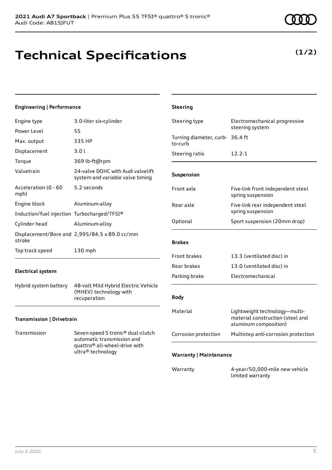### **Technical Specifications**

### **Engineering | Performance**

| Engine type                                 | 3.0-liter six-cylinder                                                |
|---------------------------------------------|-----------------------------------------------------------------------|
| Power Level                                 | 55                                                                    |
| Max. output                                 | 335 HP                                                                |
| Displacement                                | 3.01                                                                  |
| Torque                                      | 369 lb-ft@rpm                                                         |
| Valvetrain                                  | 24-valve DOHC with Audi valvelift<br>system and variable valve timing |
| Acceleration (0 - 60<br>mph)                | 5.2 seconds                                                           |
| Engine block                                | Aluminum-alloy                                                        |
| Induction/fuel injection Turbocharged/TFSI® |                                                                       |
| Cylinder head                               | Aluminum-alloy                                                        |
| stroke                                      | Displacement/Bore and 2,995/84.5 x 89.0 cc/mm                         |
| Top track speed                             | 130 mph                                                               |

### **Electrical system**

Hybrid system battery 48-volt Mild Hybrid Electric Vehicle (MHEV) technology with recuperation

### **Transmission | Drivetrain**

Transmission Seven-speed S tronic® dual-clutch automatic transmission and quattro® all-wheel-drive with ultra® technology

| <b>Steering</b>                            |                                                                                            |  |
|--------------------------------------------|--------------------------------------------------------------------------------------------|--|
| Steering type                              | Electromechanical progressive<br>steering system                                           |  |
| Turning diameter, curb- 36.4 ft<br>to-curb |                                                                                            |  |
| Steering ratio                             | 12.2:1                                                                                     |  |
| Suspension                                 |                                                                                            |  |
| Front axle                                 | Five-link front independent steel<br>spring suspension                                     |  |
| Rear axle                                  | Five-link rear independent steel<br>spring suspension                                      |  |
| Optional                                   | Sport suspension (20mm drop)                                                               |  |
| <b>Brakes</b>                              |                                                                                            |  |
| <b>Front brakes</b>                        | 13.3 (ventilated disc) in                                                                  |  |
| Rear brakes                                | 13.0 (ventilated disc) in                                                                  |  |
| Parking brake                              | Electromechanical                                                                          |  |
| <b>Body</b>                                |                                                                                            |  |
| Material                                   | Lightweight technology-multi-<br>material construction (steel and<br>aluminum composition) |  |
| Corrosion protection                       | Multistep anti-corrosion protection                                                        |  |
| <b>Warranty   Maintenance</b>              |                                                                                            |  |

Warranty 4-year/50,000-mile new vehicle limited warranty

### **(1/2)**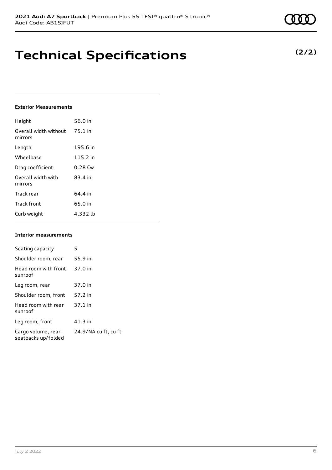### **Technical Specifications**

### **Exterior Measurements**

| Height                           | 56.0 in   |
|----------------------------------|-----------|
| Overall width without<br>mirrors | $75.1$ in |
| Length                           | 195.6 in  |
| Wheelbase                        | 115.2 in  |
| Drag coefficient                 | $0.28$ Cw |
| Overall width with<br>mirrors    | 83.4 in   |
| Track rear                       | 64.4 in   |
| <b>Track front</b>               | 65.0 in   |
| Curb weight                      | 4,332 lb  |

#### **Interior measurements**

| Seating capacity                          | 5                    |
|-------------------------------------------|----------------------|
| Shoulder room, rear                       | 55.9 in              |
| Head room with front<br>sunroof           | 37.0 in              |
| Leg room, rear                            | 37.0 in              |
| Shoulder room, front                      | 57.2 in              |
| Head room with rear<br>sunroof            | $37.1$ in            |
| Leg room, front                           | $41.3$ in            |
| Cargo volume, rear<br>seatbacks up/folded | 24.9/NA cu ft, cu ft |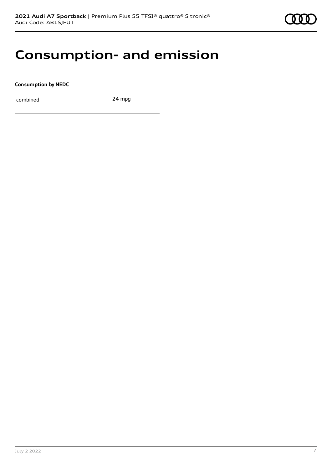### **Consumption- and emission**

**Consumption by NEDC**

combined 24 mpg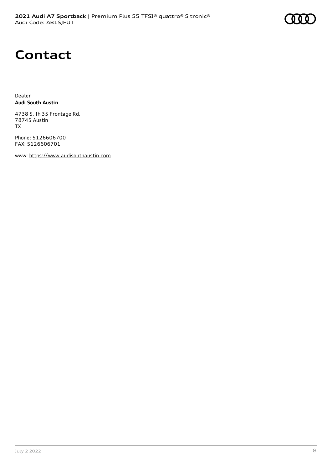## **Contact**

Dealer **Audi South Austin**

4738 S. Ih 35 Frontage Rd. 78745 Austin TX

Phone: 5126606700 FAX: 5126606701

www: [https://www.audisouthaustin.com](https://www.audisouthaustin.com/)